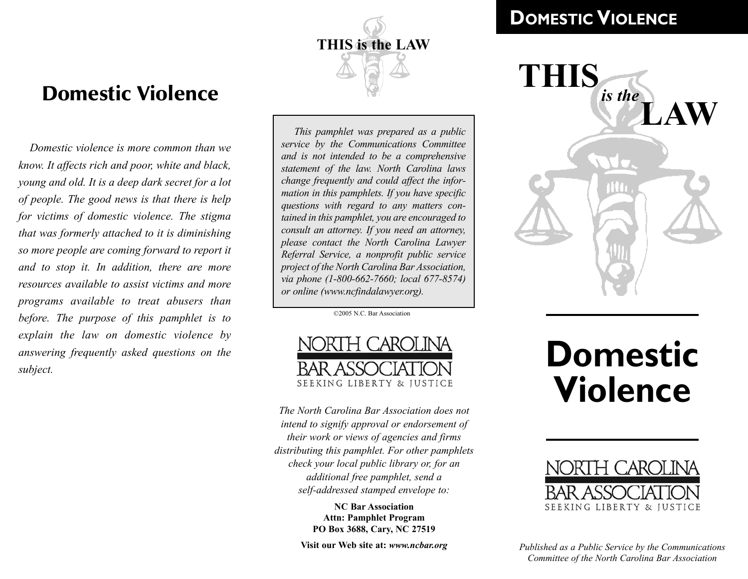

## Domestic Violence

*Domestic violence is more common than we know. It affects rich and poor, white and black, young and old. It is a deep dark secret for a lot of people. The good news is that there is help for victims of domestic violence. The stigma that was formerly attached to it is diminishing so more people are coming forward to report it and to stop it. In addition, there are more resources available to assist victims and more programs available to treat abusers than before. The purpose of this pamphlet is to explain the law on domestic violence by answering frequently asked questions on the subject.*

*This pamphlet was prepared as a public service by the Communications Committee and is not intended to be a comprehensive statement of the law. North Carolina laws change frequently and could affect the information in this pamphlets. If you have specific questions with regard to any matters contained in this pamphlet, you are encouraged to consult an attorney. If you need an attorney, please contact the North Carolina Lawyer Referral Service, a nonprofit public service project of the North Carolina Bar Association, via phone (1-800-662-7660; local 677-8574) or online (www.ncfindalawyer.org).*

©2005 N.C. Bar Association



*The North Carolina Bar Association does not intend to signify approval or endorsement of their work or views of agencies and firms distributing this pamphlet. For other pamphlets check your local public library or, for an additional free pamphlet, send a self-addressed stamped envelope to:*

> **NC Bar Association Attn: Pamphlet Program PO Box 3688, Cary, NC 27519**

**Visit our Web site at:** *www.ncbar.org*

### **DOMESTIC VIOLENCE**



# **Domestic Violence**



*Published as a Public Service by the Communications Committee of the North Carolina Bar Association*